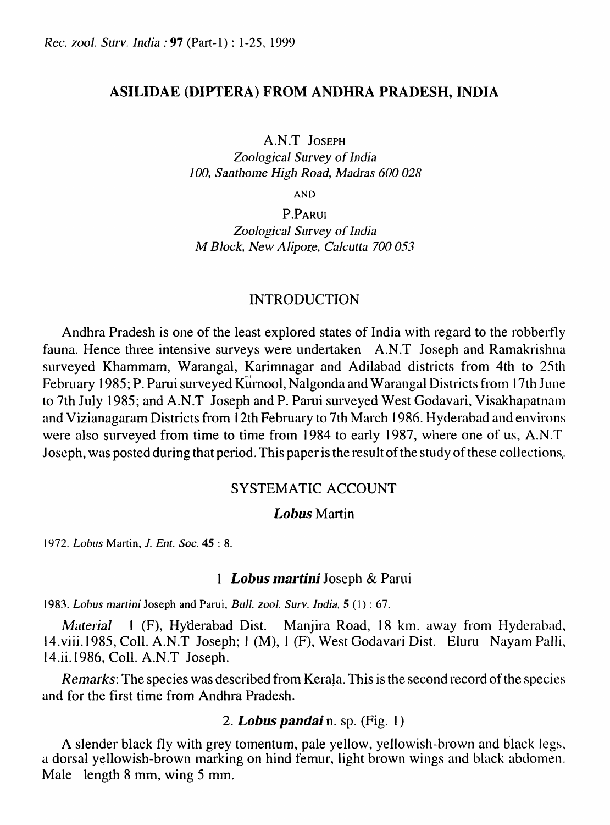### ASILIDAE (DIPTERA) FROM ANDHRA PRADESH, INDIA

A.N.T JOSEPH

*Zoological Survey* of *India*  100, Santhome High Road, Madras 600 028

AND

P.PARUI *Zoological SlIrvey* of *India M Block, New Alipore, Calcutta 700 053* 

## INTRODUCTION

Andhra Pradesh is one of the least explored states of India with regard to the robbertly fauna. Hence three intensive surveys were undettaken A.N.T Joseph and Ramakrishna surveyed Khammam, Warangal, Karimnagar and Adilabad districts from 4th to 25th February 1985; P. Parui surveyed Kurnool, Nalgonda and Warangal Districts from 17th June to 7th July 1985; and A.N.T Joseph and P. Parui surveyed West Godavari, Visakhapatnam and Vizianagaram Districts from 12th February to 7th March 1986. Hyderabad and environs were also surveyed from time to time from 1984 to early 1987, where one of us, A.N.T Joseph, was posted during that period. This paper is the result of the study of these collections,.

## SYSTEMATIC ACCOUNT

## Lobus Martin

*1972. Lobus* Martin, J. *Ent. Soc.* 45 : 8.

### 1 *Lobus martini* Joseph & Parui

1983. Lobus martini Joseph and Parui, *Bull. zool. Surv. India*, **5** (1): 67.

*Material* 1 (F), Hyderabad Dist. Manjira Road, 18 km. away from Hyderabad, 14.viii.1985, Coll. A.N.T Joseph; 1 (M), 1 (F), West Godavari Dist. Eluru Nayam Palli, I 4.ii.1986, CoIl. A.N.T Joseph.

*Remarks:* The species was described from Kerala. This is the second record of the species and for the first time from Andhra Pradesh.

# *2. Lobus pandai* n. sp. (Fig. I)

A slender black fly with grey tomentum, pale yellow, yellowish-brown and black legs. a dorsal yellowish-brown marking on hind femur, light brown wings and black abdomen. Male length 8 mm, wing 5 mm.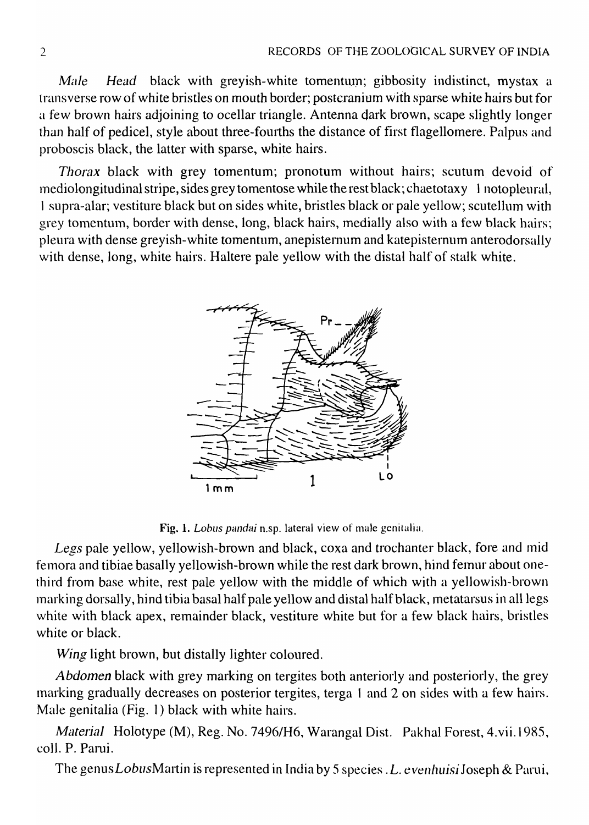*Male Head* black with greyish-white tomentum; gibbosity indistinct, mystax a transverse row of white bristles on mouth border; postcranium with sparse white hairs but for a few brown hairs adjoining to ocellar triangle. Antenna dark brown, scape slightly longer than half of pedicel, style about three-fourths the distance of first flagellomere. Palpus and proboscis black, the latter with sparse, white hairs.

*Thorax* black with grey tomentum; pronotum without hairs; scutum devoid of Inediolongitudinal stripe, sides grey tomentose while the rest black; chaetotaxy 1 notopleural, I supra-alar; vestiture black but on sides white, bristles black or pale yellow; scutellum with grey tomentum, border with dense, long, black hairs, medially also with a few black hairs; pleura with dense greyish-white tomentum, anepisternum and katepisternum anterodorsally with dense, long, white hairs. Haltere pale yellow with the distal half of stalk white.



Fig. 1. *Lobus pandai* n.sp. lateral view of male genitalia.

Legs pale yellow, yellowish-brown and black, coxa and trochanter black, fore and mid femora and tibiae basally yellowish-brown while the rest dark brown, hind femur about onethird from base white, rest pale yellow with the middle of which with a yellowish-brown inarking dorsally, hind tibia basal half pale yellow and distal half black, metatarsus in all legs white with black apex, remainder black, vestiture white but for a few black hairs, bristles *white* or black.

*Wing* light brown, but distally lighter coloured.

Abdomen black with grey marking on tergites both anteriorly and posteriorly, the grey 1narking gradually decreases on posterior tergites, terga I and 2 on sides with a few hairs. Male genitalia (Fig. 1) black with white hairs.

*Material* Holotype (M), Reg. No. 7496/H6, Warangal Dist. Pakhal Forest, 4.vii.1985, colI. P. Parui.

The genus *Lobus* Martin is represented in India by 5 species. *L. evenhuisi* Joseph & Parui,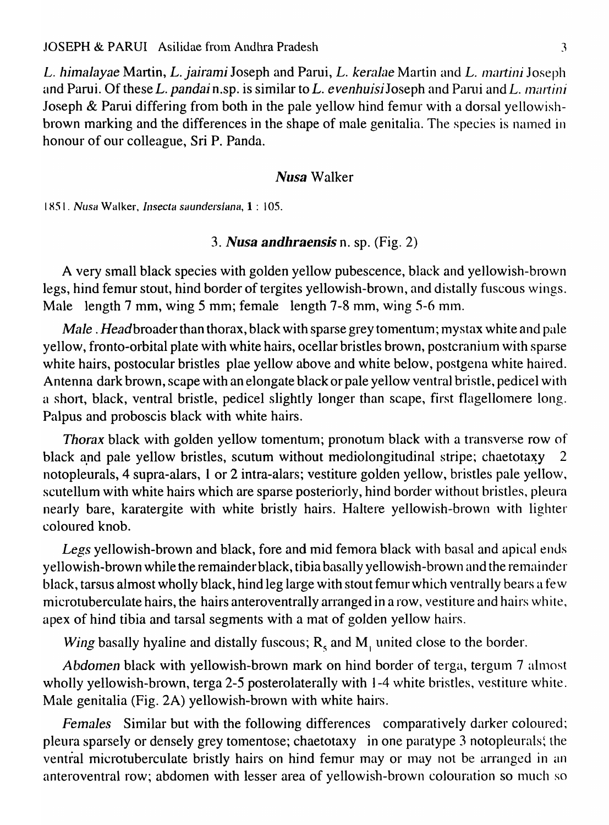*L. himalayae* Martin, *L. jairami* Joseph and Parui, *L. keralae* Martin and *L. martini* Joseph and Parui. Of these *L. pandai* n.sp. is similar to *L. evenhuisi* Joseph and Parui and *L. 111artini*  Joseph & Parui differing from both in the pale yellow hind femur with a dorsal yellowishbrown marking and the differences in the shape of male genitalia. The species is named in honour of our colleague, Sri P. Panda.

### *Nusa* Walker

*1851. Nusa* Walker, *Insecta saundersiana,* 1 : 105.

### *3. Nusa andhraensis* n. sp. (Fig. 2)

A very small black species with golden yellow pubescence, black and yellowish-brown legs, hind femur stout, hind border of tergites yellowish-brown, and distally fuscous wings. Male length 7 mm, wing 5 mm; female length 7-8 mm, wing 5-6 mm.

*Male. Head* broader than thorax, black with sparse grey tomentum; mystax white and pale yellow, fronto-orbital plate with white hairs, ocellar bristles brown, postcranium with sparse white hairs, postocular bristles plae yellow above and white below, postgena white haired. Antenna dark brown, scape with an elongate black or pale yellow ventral bristle, pedicel with a short, black, ventral bristle, pedicel slightly longer than scape, first flagellomere long. Palpus and proboscis black with white hairs.

*Thorax* black with golden yellow tomentum; pronotum black with a transverse row of black and pale yellow bristles, scutum without mediolongitudinal stripe; chaetotaxy 2 notopleurals, 4 supra-alars, I or 2 intra-alars; vestiture golden yellow, bristles pale yellow, scutellum with white hairs which are sparse posteriorly, hind border without bristles, pleura nearly bare, karatergite with white bristly hairs. Haltere yellowish-brown with lighter coloured knob.

Legs yellowish-brown and black, fore and mid femora black with basal and apical ends yellowish-brown while the remainder black, tibia basally yellowish-brown and the remainder black, tarsus almost wholly black, hind leg large with stout femur which ventrally bears a few microtuberculate hairs, the hairs anteroventrally arranged in a row, vestiture and hairs white, apex of hind tibia and tarsal segments with a mat of golden yellow hairs.

*Wing* basally hyaline and distally fuscous; R<sub>5</sub> and M<sub>1</sub> united close to the border.

*Abdomen* black with yellowish-brown mark on hind border of terga, tergum 7 almost wholly yellowish-brown, terga 2-5 posterolaterally with 1-4 white bristles, vestiture white. Male genitalia (Fig. 2A) yellowish-brown with white hairs.

*Females* Similar but with the following differences comparatively darker coloured; pleura sparsely or densely grey tomentose; chaetotaxy in one paratype 3 notopleurals; the ventral microtuberculate bristly hairs on hind femur may or may not be arranged in an anteroventral row; abdomen with lesser area of yellowish-brown colouration so much so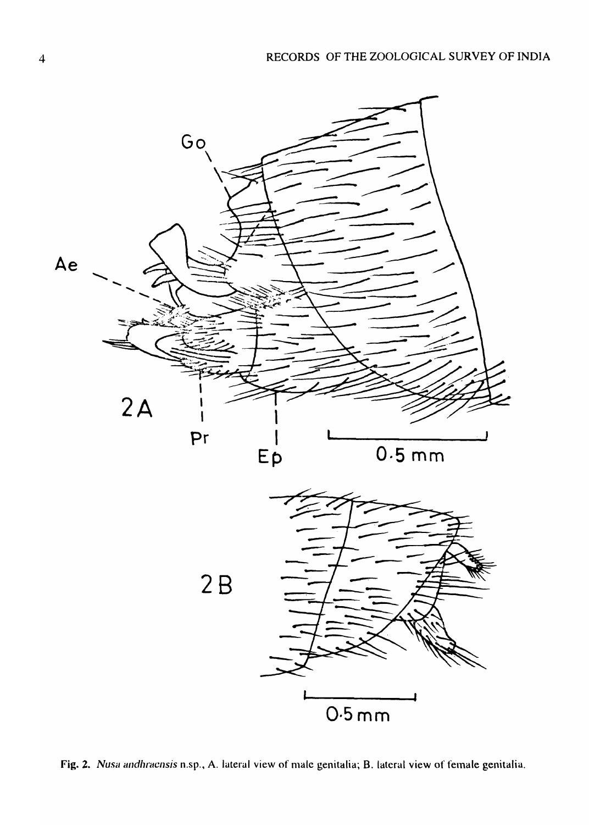

Fig. 2. *Nusa andhracnsis* n.sp., A. lateral view of male genitalia; B. lateral view of female genitalia.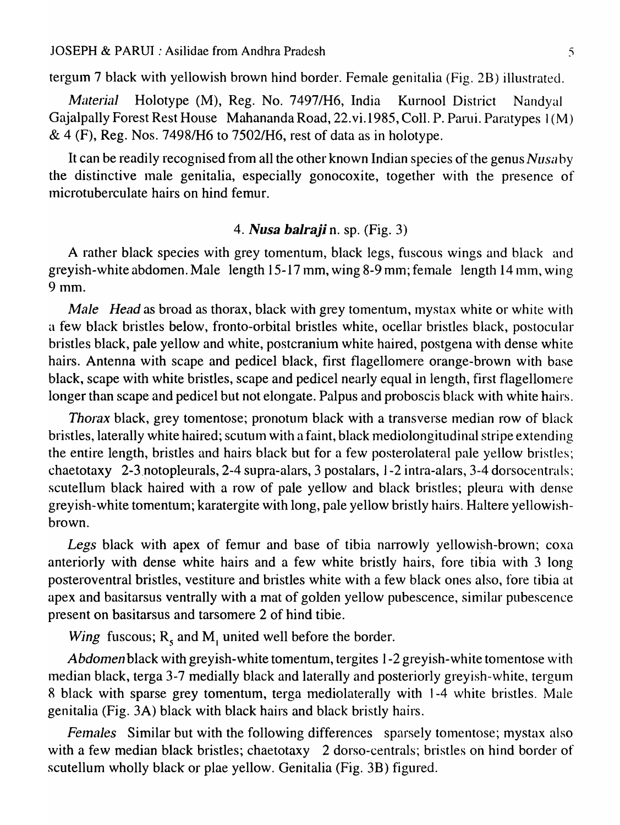tergum 7 black with yellowish brown hind border. Female genitalia (Fig. 2B) illustrated.

*Material* Holotype (M), Reg. No. 7497/H6, India Kurnool District Nandyal Gajalpally Forest Rest House Mahananda Road, 22.vi.1985, ColI. P. Parui. Paratypes I (M)  $\&$  4 (F), Reg. Nos. 7498/H6 to 7502/H6, rest of data as in holotype.

It can be readily recognised from all the other known Indian species of the genus *Nlisn* by the distinctive male genitalia, especially gonocoxite, together with the presence of microtuberculate hairs on hind femur.

### *4. Nusa balraji* n. sp. (Fig. 3)

A rather black species with grey tomentum, black legs, fuscous wings and black and greyish-white abdomen. Male length  $15-17$  mm, wing 8-9 mm; female length 14 mm, wing 9mm.

*Male Head* as broad as thorax, black with grey tomentum, mystax white or white with a few black bristles below, fronto-orbital bristles white, ocellar bristles black, postocular bristles black, pale yellow and white, postcranium white haired, postgena with dense white hairs. Antenna with scape and pedicel black, first flagellomere orange-brown with base black, scape with white bristles, scape and pedicel nearly equal in length, first flagellomere longer than scape and pedicel but not elongate. Palpus and proboscis black with white hairs.

*Thorax* black, grey tomentose; pronotum black with a transverse median row of black bristles, laterally white haired; scutum with a faint, black mediolongitudinal stripe extending the entire length, bristles and hairs black but for a few posterolateral pale yellow bristles; chaetotaxy 2-3,notopleurals, 2-4 supra-alars, 3 postalars, J -2 intra-alars, 3-4 dorsocentrals: scutellum black haired with a row of pale yellow and black bristles; pleura with dense greyish-white tomentum; karatergite with long, pale yellow bristly hairs. Haltere yellowishbrown.

*Legs* black with apex of femur and base of tibia narrowly yellowish-brown; coxa anteriorly with dense white hairs and a few white bristly hairs, fore tibia with 3 long posteroventral bristles, vestiture and bristles white with a few black ones also, fore tibia at apex and basitarsus ventrally with a mat of golden yellow pubescence, similar pubescence present on basitarsus and tarsomere 2 of hind tibie.

*Wing* fuscous;  $R_s$  and  $M_l$  united well before the border.

*Abdomen* black with greyish-white tomentum, tergites 1-2 greyish-white tomentose with median black, terga 3-7 medially black and laterally and posteriorly greyish-white, tergum 8 black with sparse grey tomentum, terga mediolaterally with 1-4 white bristles. Male genitalia (Fig. 3A) black with black hairs and black bristly hairs.

*Females* Similar but with the following differences sparsely tomentose; mystax also with a few median black bristles; chaetotaxy 2 dorso-centrals; bristles on hind border of scutellum wholly black or plae yellow. Genitalia (Fig. 3B) figured.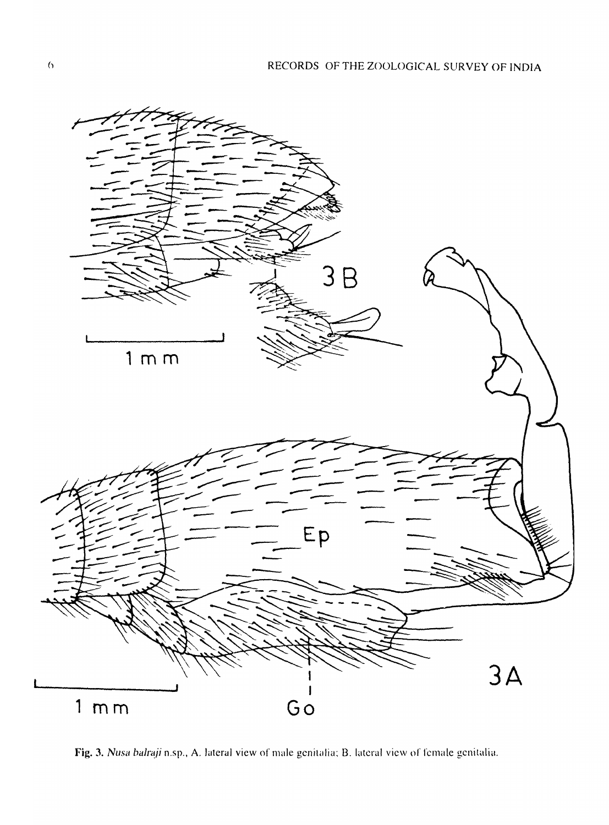

Fig. 3. *Nusa balraji* n.sp., A. lateral view of male genitalia; B. lateral view of female genitalia.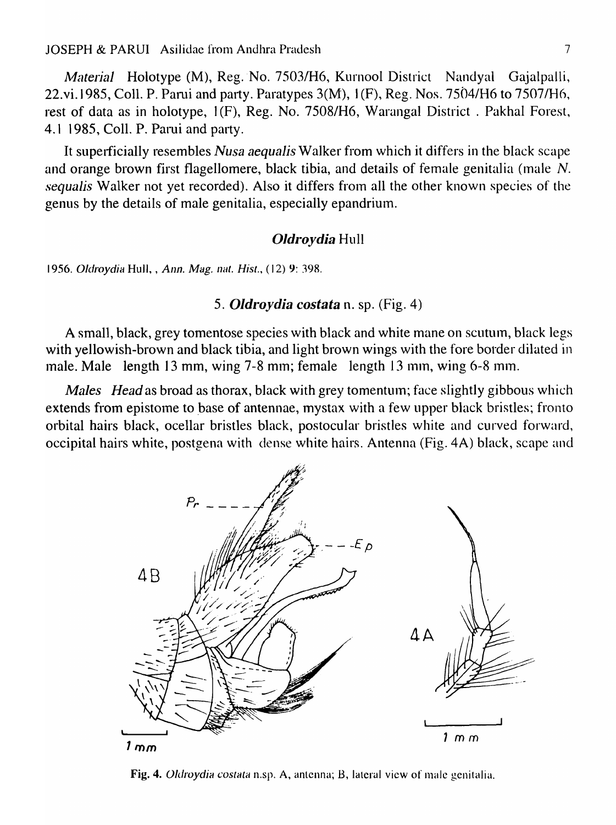*Material* Holotype (M), Reg. No. 7503/H6, Kurnool District Nandyal Gajalpalli, 22.vi.1985, ColI. P. Pami and party. Paratypes 3(M), I (F), Reg. Nos. 7504/H6 to 7507/H6, rest of data as in holotype, 1(F), Reg. No. 7508/H6, Warangal District. Pakhal Forest, 4.1 1985, CoIl. P. Patui and party.

It superficially resembles *Nusa aequalis* Walker from which it differs in the black scape and orange brown first flagellomere, black tibia, and details of female genitalia (male *N*. *sequalis* Walker not yet recorded). Also it differs from all the other known species of the genus by the details of male genitalia, especially epandrium.

#### *Oldroydia* Hull

1956. Oldroydia Hull, , *Ann. Mag. nat. Hist.*, (12) 9: 398.

### *5. Oldroydia costata* n. sp. (Fig. 4)

A small, black, grey tomentose species with black and white mane on scutum, black legs with yellowish-brown and black tibia, and light brown wings with the fore border dilated in male. Male length 13 mm, wing 7-8 mm; female length 13 mm, wing 6-8 mm.

*Males Head* as broad as thorax, black with grey tomentum; face slightly gibbous which extends from epistome to base of antennae, mystax with a few upper black bristles; fronto orbital hairs black, ocellar bristles black, postocular bristles white and curved forward, occipital hairs white, postgena with dense white hairs. Antenna (Fig. 4A) black, scape and



Fig. 4. *Oldroydia costata* n.sp. A, antenna; B, lateral view of male genitalia.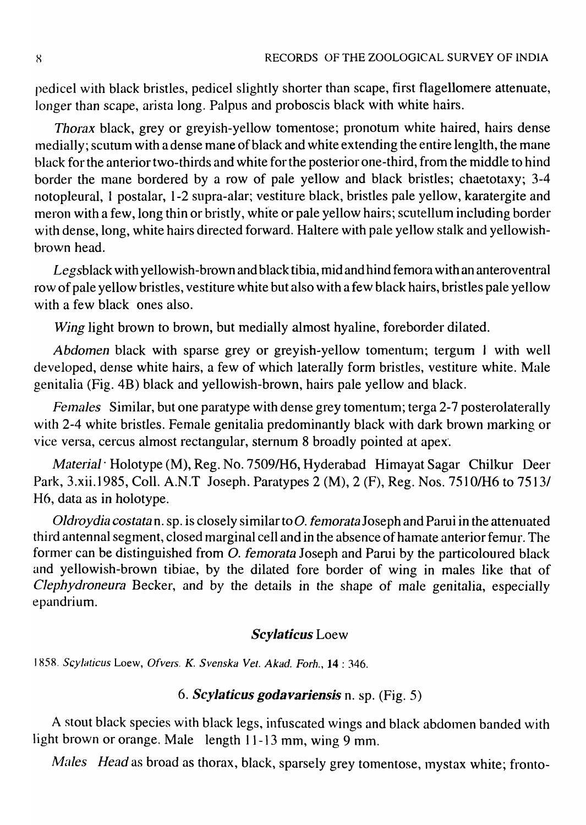pedicel with black bristles, pedicel slightly shorter than scape, first flagellomere attenuate, longer than scape, arista long. Palpus and proboscis black with white hairs.

*Thorax* black, grey or greyish-yellow tomentose; pronotum white haired, hairs dense medially; scutum with a dense mane of black and white extending the entire lenglth, the mane black for the anterior two-thirds and white for the posterior one-third, from the middle to hind border the mane bordered by a row of pale yellow and black bristles; chaetotaxy; 3-4 notopleural, I postalar, 1-2 supra-alar; vestiture black, bristles pale yellow, karatergite and lneron with a few, long thin or bristly, white or pale yellow hairs; scutellum including border with dense, long, white hairs directed forward. Haltere with pale yellow stalk and yellowishbrown head.

Legsblack with yellowish-brown and black tibia, mid and hind femora with an anteroventral row of pale yellow bristles, vestiture white but also with a few black hairs, bristles pale yellow with a few black ones also.

*Wing* light brown to brown, but medially almost hyaline, foreborder dilated.

*Abdomen* black with sparse grey or greyish-yellow tomentum; tergum J with well developed, dense white hairs, a few of which laterally form bristles, vestiture white. Male genitalia (Fig. 4B) black and yellowish-brown, hairs pale yellow and black.

Females Similar, but one paratype with dense grey tomentum; terga 2-7 posterolaterally with 2-4 white bristles. Female genitalia predominantly black with dark brown marking or vice versa, cercus almost rectangular, sternum 8 broadly pointed at apex·.

*Material·* Holotype (M), Reg. No. 75091H6, Hyderabad Himayat Sagar Chilkur Deer Park, 3.xii.1985, Coll. A.N.T Joseph. Paratypes 2 (M), 2 (F), Reg. Nos. 7510/H6 to 7513/ H6, data as in holotype.

*Oldroydia costatan.* sp. is closely similar to *O. femorata* Joseph and Parui in the attenuated third antennal segment, closed marginal cell and in the absence of hamate anterior femur. The former can be distinguished from  $O$ . femorata Joseph and Parui by the particoloured black and yellowish-brown tibiae, by the dilated fore border of wing in males like that of Clephydroneura Becker, and by the details in the shape of male genitalia, especially epandrium.

# *Scylaticus* Loew

) 858. *Scylalicus* Loew, *Ofvers. K. Svenska Vel. Akad. Forh.,* 14 : 346.

# *6. ScyJaticus godavariensis* n. sp. (Fig. 5)

A stout black species with black legs, infuscated wings and black abdomen banded with light brown or orange. Male length 11-13 mm, wing 9 mm.

Males *Head* as broad as thorax, black, sparsely grey tomentose, mystax white; fronto-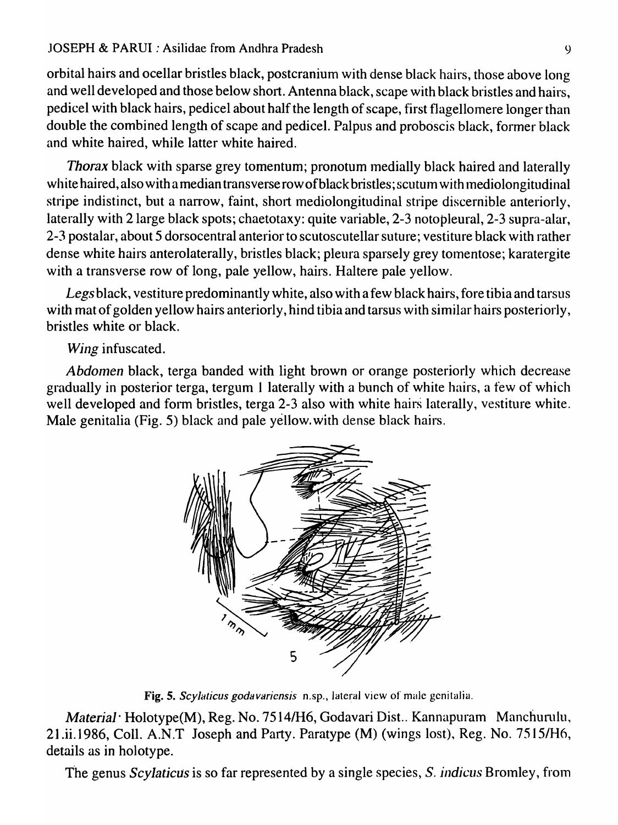### JOSEPH & PARDI: Asilidae from Andhra Pradesh

orbital hairs and ocellar bristles black, postcranium with dense black hairs, those above long and well developed and those below short. Antenna black, scape with black bristles and hairs, pedicel with black hairs, pedicel about half the length of scape, first flagellomere longer than double the combined length of scape and pedicel. Palpus and proboscis black, former black and white haired, while latter white haired.

*Thorax* black with sparse grey tomentum; pronotum medially black haired and laterally white haired, also with a median transverse row of black bristles; scutum with mediolongitudinal stripe indistinct, but a narrow, faint, short mediolongitudinal stripe discernible anteriorly, laterally with 2 large black spots; chaetotaxy: quite variable, 2-3 notopleural, 2-3 supra-alar, 2-3 postalar, about 5 dorsocentral anterior to scutoscutellar suture; vestiture black with rather dense white hairs anterolaterally, bristles black; pleura sparsely grey tomentose; karatergite with a transverse row of long, pale yellow, hairs. Haltere pale yellow.

*Legs* black, vestiture predominantly white, also with a few black hairs, fore tibia and tarsus with mat of golden yellow hairs anteriorly, hind tibia and tarsus with similar hairs posteriorly, bristles white or black.

*Wing* infuscated.

*Abdomen* black, terga banded with light brown or orange posteriorly which decrease gradually in posterior terga, tergum I laterally with a bunch of white hairs, a few of which well developed and form bristles, terga 2-3 also with white hairs laterally, vestiture white. Male genitalia (Fig. 5) black and pale yellow. with dense black hairs.



Fig. 5. Scylaticus godavariensis n.sp., lateral view of male genitalia.

*Material* · Holotype(M), Reg. No. 7514/H6, Godavari Dist.. Kannapuram Manchurulu, 21.ii.1986, CoIl. A.N.T Joseph and Party. Paratype (M) (wings lost), Reg. No. 7515/H6, details as in holotype.

The genus *Scylaticus* is so far represented by a single species, S. *indicus* Bromley, from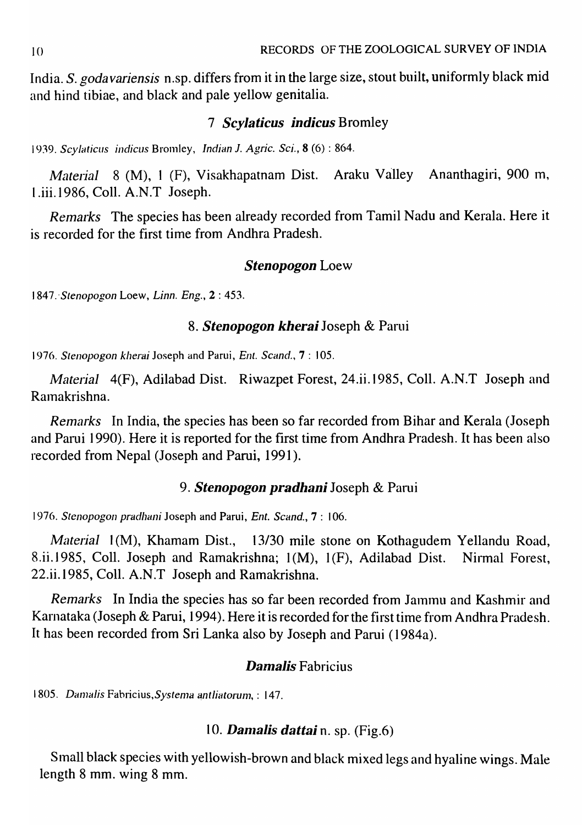India. S. *godavariensis* n.sp. differs from it in the large size, stout built, uniformly black mid and hind tibiae, and black and pale yellow genitalia.

# 7 *ScyJaticus indicus* Bromley

1939. *Scylaticus indicus Bromley, Indian J. Agric. Sci.,* **8** (6) : 864.

*Material* 8 (M), 1 (F), Visakhapatnam Dist. Araku Valley Ananthagiri, 900 m, l.iii.1986, CoIl. A.N.T Joseph.

*Remarks* The species has been already recorded from Tamil Nadu and Kerala. Here it is recorded for the first time from Andhra Pradesh.

## *Stenopogon* Loew

1 847.' *Stenopogon* Loew, *Linn. Eng.,* 2 : 453.

## *8. Stenopogon kherai* Joseph & Parui

1976. *Slenopogon kherai* Joseph and Parui, *Ent. Scand.,* 7 : 105.

*Material* 4(F), Adilabad Dist. Riwazpet Forest, 24.ii.1985, CoIl. A.N.T Joseph and Ramakrishna.

*Remarks* In India, the species has been so far recorded from Bihar and Kerala (Joseph) and Parui 1990). Here it is reported for the first time from Andhra Pradesh. It has been also recorded from Nepal (Joseph and Parui, 1991).

## *9. Stenopogon pradhani* Joseph & Pami

1976. *Stenopogon pradhani* Joseph and Parui, *Ent. Scand.*, 7: 106.

*Material 1(M), Khamam Dist., 13/30 mile stone on Kothagudem Yellandu Road,* 8.ii.1985, Coll. Joseph and Ramakrishna; 1(M), 1(F), Adilabad Dist. Nirmal Forest, 22.ii.1985, Call. A.N.T Joseph and Ramakrishna.

*Remarks* In India the species has so far been recorded from Jammu and Kashmir and Karnataka (Joseph & Pami, 1994). Here it is recorded for the first time from Andhra Pradesh. It has been recorded from Sri Lanka also by Joseph and Parui (1984a).

# *DamaJis* Fabricius

1805. *Damalis Fabricius, Systema antliatorum*, : 147.

# 10. Damalis dattai n. sp. (Fig.6)

Small black species with yellowish-brown and black mixed legs and hyaline wings. Male length 8 mm. wing 8 mm.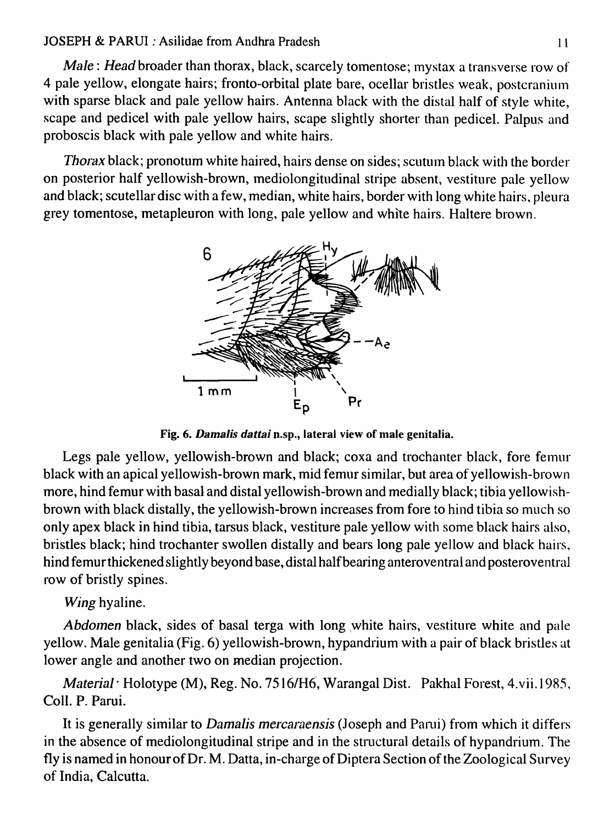## JOSEPH & PARUI : Asilidae from Andhra Pradesh 1 1

*Male: Head* broader than thorax, black, scarcely tomentose; mystax a transverse row of 4 pale yellow, elongate hairs; fronto-orbital plate bare, ocellar bristles weak, postcranium with sparse black and pale yellow hairs. Antenna black with the distal half of style white, scape and pedicel with pale yellow hairs, scape slightly shorter than pedicel. Palpus and proboscis black with pale yellow and white hairs.

*Thorax* black; pronotum white haired, hairs dense on sides; scutum black with the border on posterior half yellowish-brown, mediolongitudinal stripe absent, vestiture pale yellow and black; scutellar disc with a few, median, white hairs, border with long white hairs, pleura grey tomentose, metapleuron with long, pale yellow and white hairs. Haltere brown.



Fig. 6. *Damalis dattai* n.sp., lateral view of male genitalia.

Legs pale yellow, yellowish-brown and black; coxa and trochanter black, fore femur black with an apical yellowish-brown mark, mid femur similar, but area of yellowish-brown more, hind femur with basal and distal yellowish-brown and medially black; tibia yellowishbrown with black distally, the yellowish-brown increases from fore to hind tibia so much so only apex black in hind tibia, tarsus black, vestiture pale yellow with some black hairs also, bristles black; hind trochanter swollen distally and bears long pale yellow and black hairs, hind femur thickened slightly beyond base, distal halfbearing anteroventral and posteroventral row of bristly spines.

# *Wing* hyaline.

*Abdomen* black, sides of basal terga with long white hairs, vestiture white and pale yellow. Male genitalia (Fig. 6) yellowish-brown, hypandrium with a pair of black bristles at lower angle and another two on median projection.

*Material·* Holotype (M), Reg. No. 7516/H6, Warangal Dist. Pakhal Forest, 4.vii.198S, CoIl. P. Parui.

It is generally similar to *Damalis mercaraensis* (Joseph and Parui) from which it differs in the absence of mediolongitudinal stripe and in the structural details of hypandrium. The fly is named in honour of Dr. M. Datta, in-charge of Diptera Section of the Zoological Survey of India, Calcutta.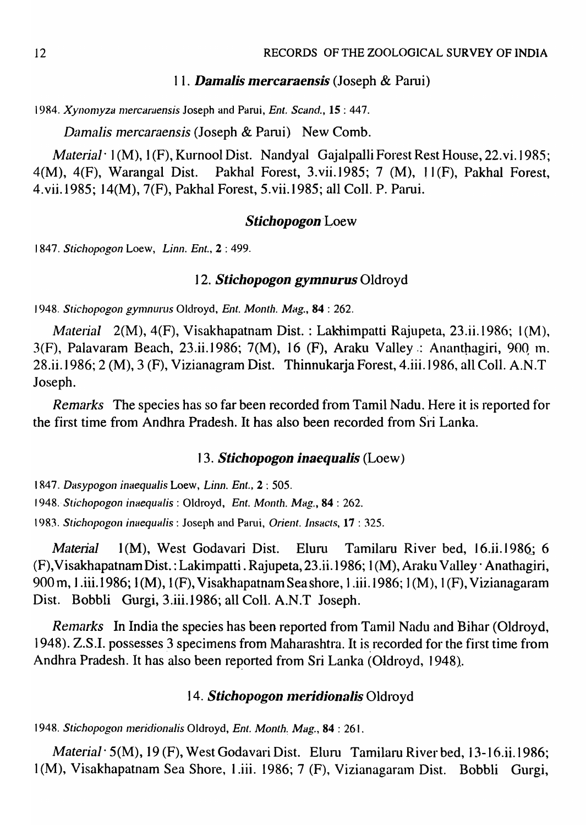### 11. **Damalis mercaraensis** (Joseph & Parui)

1984. *Xynomyza mercaraensis* Joseph and Parui, *Ent. Scand.*, 15:447.

*Damalis mercaraensis* (Joseph & Parui) New Comb.

*Material*  $\cdot$  1(M), 1(F), Kurnool Dist. Nandyal Gajalpalli Forest Rest House, 22. vi. 1985; 4(M), 4(F), Warangal Dist. Pakhal Forest, 3.vii.1985; 7 (M), 11(F), Pakhal Forest, 4.vii.1985; 14(M), 7(F), Pakhal Forest, 5.vii.l985; all ColI. P. Parui.

### *Stichopogon'Loew*

1847. *Stichopogon* Loew, *Linn. Ent.,* 2 : 499.

# *12. Stichopogon gymnurus* Oldroyd

1948. *Stichopogon gymnurus Oldroyd, Ent. Month. Mag.*, 84: 262.

*Material* 2(M), 4(F), Visakhapatnam Dist. : Lakhimpatti Rajupeta, 23.ii.1986; I (M), 3(F), Palavaram Beach, 23.ii.1986; 7(M), 16 (F), Araku Valley: Ananthagiri, 900 m. 28.ii.1986; 2 (M), 3 (F), Vizianagram Dist. Thinnukarja Forest, 4.iii.1986, all ColI. A.N.T Joseph.

*Remarks* The species has so far been recorded from Tamil Nadu. Here it is reported for the first time from Andhra Pradesh. It has also been recorded from Sri Lanka.

## J 3. *Stichopogon inaequalis* (Loew)

1847. *Dasypogon inaequalis Loew, Linn. Ent., 2: 505.* 

1948. *Stichopogon inaequalis* : Oldroyd, *Ent. Month. Mag.*, **84** : 262.

1983. *Stichopogon inaequalis* : Joseph and Parui, *Orient. Insacts*, **17** : 325.

*Material* 1(M), West Godavari Dist. Eluru Tamilaru River bed, 16.ii.1986; 6 (F),VisakhapatnamDist.: Lakimpatti. Rajupeta, 23.ii.1986; I (M), Arakll Valley' Anathagiri, 900 m, l.iii.1986; 1 (M), 1 (F), Visakhapatnam Seashore, l.iii.1986; ] (M), J (F), Vizianagaram Dist. Bobbli Gurgi, 3.iii.1986; all ColI. A.N.T Joseph.

*Remarks* In India the species has been reported from Tamil Nadu and Bihar (Oldroyd, 1948). Z.S.I. possesses 3 specimens from Maharashtra. It is recorded for the first time from Andhra Pradesh. It has also been reported from Sri Lanka (Oldroyd, 1948).

# 14. Stichopogon meridionalis Oldroyd

1948. *Stichopogon meridionalis Oldroyd, Ent. Month. Mag.*, 84 : 261.

*Material* · 5(M), 19 (F), West Godavari Dist. Eluru Tamilaru River bed, 13-16.ii.1986; 1(M), Visakhapatnam Sea Shore, 1.iii. 1986; 7 (F), Vizianagaram Dist. Bobbli Gurgi,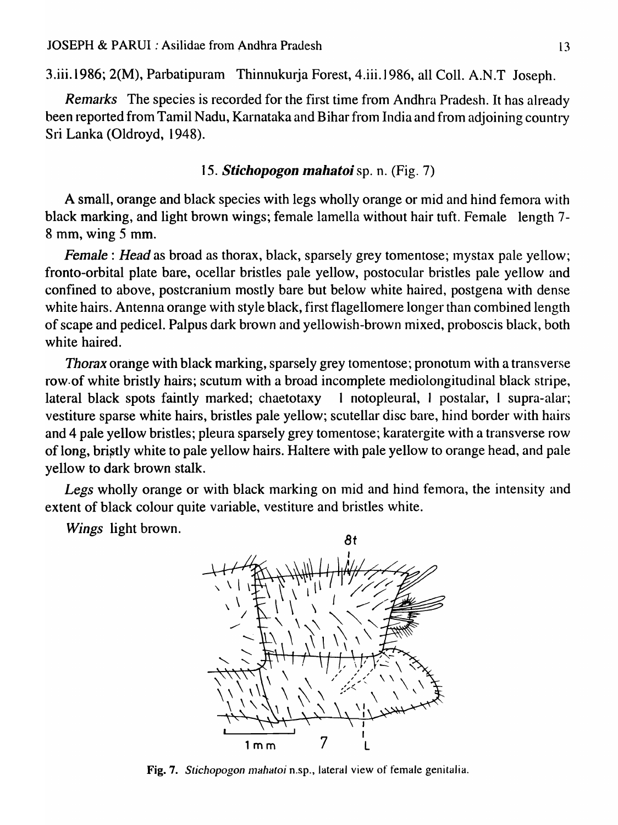3.iii.1986; 2(M), Parbatipuram Thinnukurja Forest, 4.iii.1986, all ColI. A.N.T Joseph.

*Remarks* The species is recorded for the first time from Andhra Pradesh. It has already been reported from Tamil Nadu, Karnataka and Bihar from India and from adjoining country Sri Lanka (Oldroyd, 1948).

# *15. Stichopogon mahatoi* sp. n. (Fig. 7)

A small, orange and black species with legs wholly orange or mid and hind femora with black marking, and light brown wings; female lamella without hair tuft. Female length 7- 8 mm, wing 5 mm.

*Female: Head* as broad as thorax, black, sparsely grey tomentose; mystax pale yellow; fronto-orbital plate bare, ocellar bristles pale yellow, postocular bristles pale yellow and confined to above, postcranium mostly bare but below white haired, postgena with dense white hairs. Antenna orange with style black, first flagellomere longer than combined length of scape and pedicel. Palpus dark brown and yellowish-brown mixed, proboscis black, both white haired.

*Thorax* orange with black marking, sparsely grey tomentose; pronotum with a transverse row.of white bristly hairs; scutum with a broad incomplete mediolongitudinal black stripe, lateral black spots faintly marked; chaetotaxy I notopleural, I postalar, I supra-alar; vestiture sparse white hairs, bristles pale yellow; scutellar disc bare, hind border with hairs and 4 pale yellow bristles; pleura sparsely grey tomentose; karatergite with a transverse row of long, bristly white to pale yellow hairs. Haltere with pale yellow to orange head, and pale yellow to dark brown stalk.

*Legs* wholly orange or with black marking on mid and hind femora, the intensity and extent of black colour quite variable, vestiture and bristles white.

*Wings* light brown.



Fig. 7. *Stichopogon mahatoi* n.sp., lateral view of female genitalia.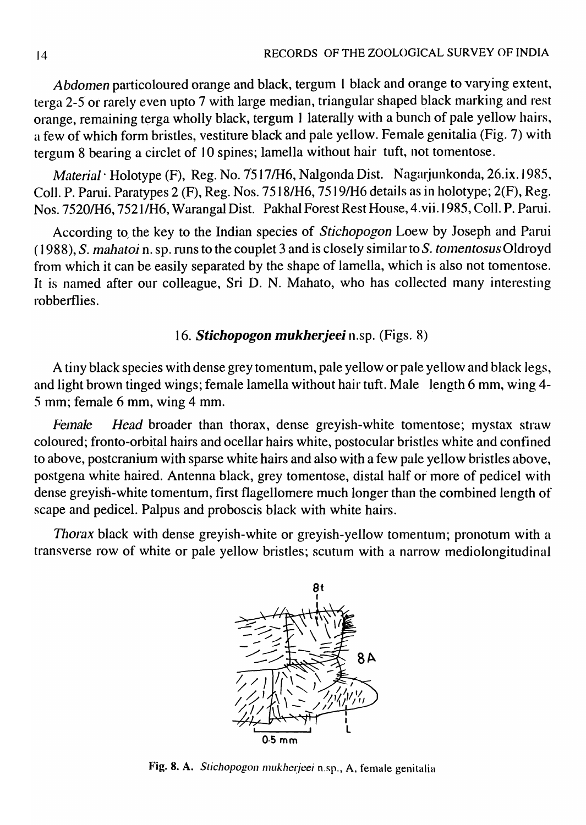*Abdomen particoloured orange and black, tergum 1 black and orange to varying extent,* terga 2-5 or rarely even upto 7 with large median, triangular shaped black marking and rest orange, remaining terga wholly black, tergum 1 laterally with a bunch of pale yellow hairs, a few of which form bristles, vestiture black and pale yellow. Female genitalia (Fig. 7) with tergum 8 bearing a circlet of 10 spines; lamella without hair tuft, not tomentose.

*Material* · Holotype (F), Reg. No. 7517/H6, Nalgonda Dist. Nagarjunkonda, 26.ix. 1985, Coll. P. Parui. Paratypes 2 (F), Reg. Nos. 7518/H6, 7519/H6 details as in holotype; 2(F), Reg. Nos. 75201H6, 7521/H6, Warangal Dist. Pakhal Forest Rest House, 4. vii.1985, Coll. P. Parui.

According to, the key to the Indian species of *Stichopogon* Loew by Joseph and Parui (1988), *S. nlahatoi* n. sp. runs to the couplet 3 and is closely similar to *S. tOlnentosus* Oldroyd from which it can be easily separated by the shape of lamella, which is also not tomentose. It is named after our colleague, Sri D. N. Mahato, who has collected many interesting robberflies.

# *16. Stichopogon mukherjeei* n.sp. (Figs. 8)

A tiny black species with dense grey tomentum, pale yellow or pale yellow and black legs, and light brown tinged wings; female lamella without hair tuft. Male length 6 mm, wing 4-5 mm; female 6 mm, wing 4 mm.

*Female Head* broader than thorax, dense greyish-white tomentose; mystax straw coloured; fronto-orbital hairs and ocellar hairs white, postocular bristles white and confined to above, postcranium with sparse white hairs and also with a few pale yellow bristles above, postgena white haired. Antenna black, grey tomentose, distal half or more of pedicel with dense greyish-white tomentum, first flagellomere much longer than the combined length of scape and pedicel. Palpus and proboscis black with white hairs.

Thorax black with dense greyish-white or greyish-yellow tomentum; pronotum with a transverse row of white or pale yellow bristles; scutum with a narrow mediolongitudinal



Fig. 8. A. Stichopogon mukhcrjeei n.sp., A. female genitalia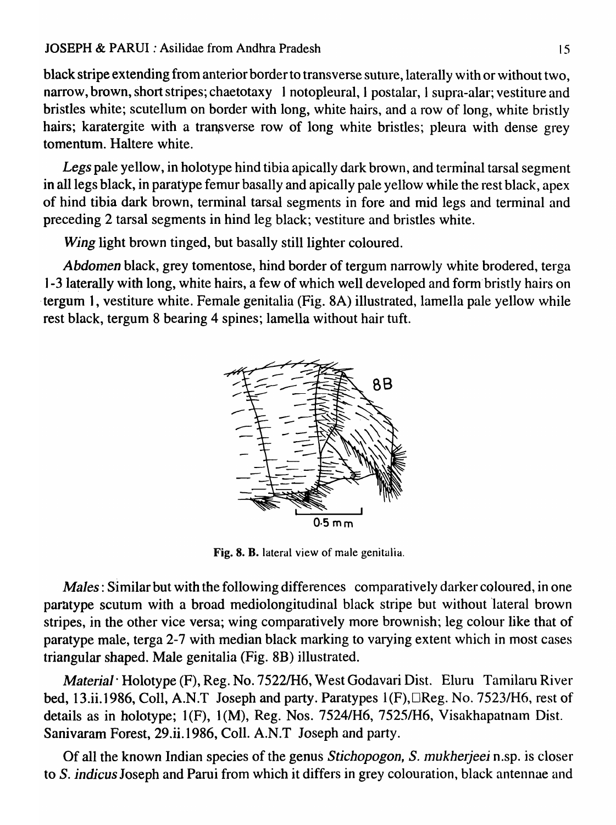### JOSEPH & PARUI : Asilidae from Andhra Pradesh 15

black stripe extending from anterior border to transverse suture, laterally with or without two, narrow, brown, short stripes; chaetotaxy 1 notopleural, 1 postalar, 1 supra-alar; vestiture and bristles white; scutellum on border with long, white hairs, and a row of long, white bristly hairs; karatergite with a transverse row of long white bristles; pleura with dense grey tomentum. Haltere white.

*Legs* pale yellow, in holotype hind tibia apically dark brown, and terminal tarsal segment in all legs black, in paratype femur basally and apically pale yellow while the rest black, apex of hind tibia dark brown, terminal tarsal segments in fore and mid legs and terminal and preceding 2 tarsal segments in hind leg black; vestiture and bristles white.

*Wing* light brown tinged, but basally still lighter coloured.

*Abdomen* black, grey tomentose, hind border of tergum narrowly white brodered, terga ] -3 laterally with long, white hairs, a few of which well developed and form'bristly hairs on . tergum 1, vestiture white. Female genitalia (Fig. 8A) illustrated, lamella pale yellow while rest black, tergum 8 bearing 4 spines; lamella without hair tuft.



Fig. 8. B. lateral view of male genitalia.

*Males:* Similar but with the following differences comparatively darker coloured, in one paratype scutum with a broad mediolongitudinal black stripe but without lateral brown stripes, in the other vice versa; wing comparatively more brownish; leg colour like that of paratype male, terga 2-7 with median black marking to varying extent which in most cases triangular shaped. Male genitalia (Fig. 8B) illustrated.

*Material·* Holotype (F), Reg. No. *75221H6,* West Godavari Dist. Eluru Tamilaru River bed, 13.ii.1986, Coll, A.N.T Joseph and party. Paratypes 1(F),□Reg. No. 7523/H6, rest of details as in holotype; 1(F), 1(M), Reg. Nos. 7524/H6, 7525/H6, Visakhapatnam Dist. Sanivaram Forest, 29.ii.1986, CoIl. A.N.T Joseph and party.

Of all the known Indian species of the genus *Stichopogon, S. mukherjeei* n.sp. is closer to S. *indicus* Joseph and Parui from which it differs in grey colouration, black antennae and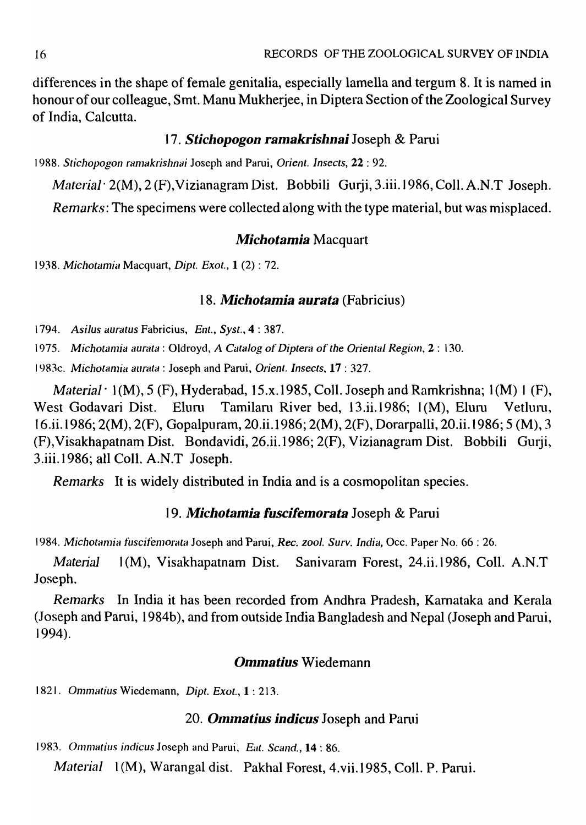differences in the shape of female genitalia, especially lamella and tergum 8. It is named in honour of our colleague, Smt. Manu Mukherjee, in Diptera Section of the Zoological Survey of India, Calcutta.

# *17. Stichopogon ramakrishnai* Joseph & Parui

1988. *Stichopogon ranlakrishnai* Joseph and Parui, *Orient. Insects,* 22 : 92.

*Material*  $2(M)$ ,  $2(F)$ , Vizianagram Dist. Bobbili Gurji, 3.iii.1986, Coll. A.N.T Joseph.

*Remarks:* The specimens were collected along with the type material, but was misplaced.

## *Michotamia* Macquart

1938. *Michotamia* Macquart, *Dipt. Exot.,* 1 (2) : 72.

## 18. Michotamia aurata (Fabricius)

1794. *AsiIus auratus* Fabricius, *Ent., SySl.,* 4 : 387.

1975. *Michotamia aurata* : Oldroyd, *A Catalog of Diptera of the Oriental Region*, 2 : 130.

1983c. *Michotamia aurata* : Joseph and Parui, *Orient. Insects*, 17 : 327.

*Material* · 1(M), 5 (F), Hyderabad, 15.x.1985, Coll. Joseph and Ramkrishna; 1(M) 1 (F), West Godavari Dist. Eluru Tamilaru River bed, 13.ii.1986; 1(M), Eluru Vetluru, 16.ii.1986; 2(M), 2(F), Gopalpuram, 20.ii.1986; 2(M), 2(F), Dorarpalli, 20.ii.1986; 5 (M), 3 (F), Visakhapatnam Dist. Bondavidi, 26.ii.1986; 2(F), Vizianagram Dist. Bobbili Gurji, 3.iii.1986; all ColI. A.N.T Joseph.

*Remarks* It is widely distributed in India and is a cosmopolitan species.

# *19. Michotamia fuscifemorata* Joseph & Parui

1984. *Michotamia fuscifemorata* Joseph and Parui, *Rec. zool. Surv. India*, Occ. Paper No. 66 : 26.

*Material* 1(M), Visakhapatnam Dist. Sanivaram Forest, 24.ii.1986, Coll. A.N.T Joseph.

*Relnarks* In India it has been recorded from Andhra Pradesh, Karnataka and Kerala (Joseph and Parui, 1984b), and from outside India Bangladesh and Nepal (Joseph and Parui, 1994).

## *Ommatius* Wiedemann

1821. *Ommatius Wiedemann, Dipt. Exot., 1: 213.* 

### 20. **Ommatius indicus** Joseph and Parui

1983. *Ollllnatius indicus* Joseph and Parui, *Bul. Scand.,* 14 : 86.

Material  $1(M)$ , Warangal dist. Pakhal Forest, 4.vii.1985, Coll. P. Parui.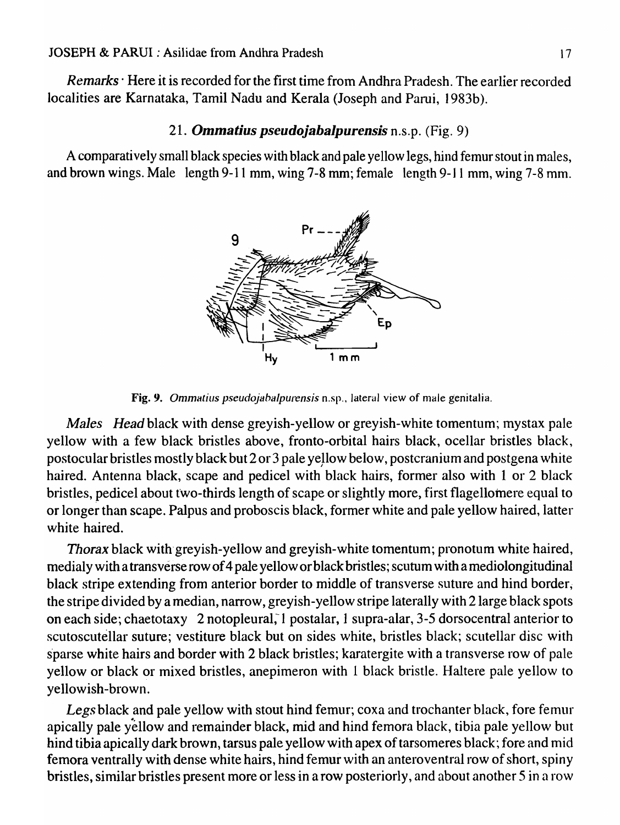*Remarks·* Here it is recorded for the first time from Andhra Pradesh. The earlier recorded localities are Karnataka, Tamil Nadu and Kerala (Joseph and Parui, 1983b).

# 21. *Ommatius pseudojabalpurensis* n.s.p. (Fig. 9)

A comparatively small black species with black and pale yellow legs, hind femur stout in males, and brown wings. Male length 9-11 mm, wing 7-8 mm; female length 9-11 mm, wing 7-8 mm.



Fig. 9. *Ommalius pseudojabalpurensis* n.sp., lateral view of male genitalia.

*Males Head* black with dense greyish-yellow or greyish-white tomentum; mystax pale yellow with a few black bristles above, fronto-orbital hairs black, ocellar bristles black, postocular bristles mostly black but 2 or 3 pale yellow below, postcranium and postgena white haired. Antenna black, scape and pedicel with black hairs, former also with 1 or 2 black bristles, pedicel about two-thirds length of scape or slightly more, first flagellomere equal to or longer than scape. Palpus and proboscis black, former white and pale yellow haired, latter white haired.

*Thorax* black with'greyish-yellow and greyish-white tomentum; pronotum white haired, medialy with a transverse row of 4 pale yellow or black bristles; scutum with a mediolongitudinal black stripe extending from anterior border to middle of transverse suture and hind border; the stripe divided by a median, narrow, greyish-yellow stripe laterally with 2 large black spots on each side; chaetotaxy 2 notopleural; I postalar, 1 supra-alar, 3-5 dorsocentral anterior to scutoscutellar suture; vestiture black but on sides white, bristles black; scutellar disc with sparse white hairs and border with 2 black bristles; karatergite with a transverse row of pale yellow or black or mixed bristles, anepimeron with 1 black bristle. Haltere pale yellow to yellowish-brown.

Legs black and pale yellow with stout hind femur; coxa and trochanter black, fore femur apically pale yellow and remainder black, mid and hind femora black, tibia pale yellow but hind tibia apically dark brown, tarsus pale yellow with apex of tarsomeres black; fore and mid femora ventrally with dense white hairs, hind femur with an anteroventral row of short, spiny bristles, similar bristles present more or less in a row posteriorly, and about another 5 in a row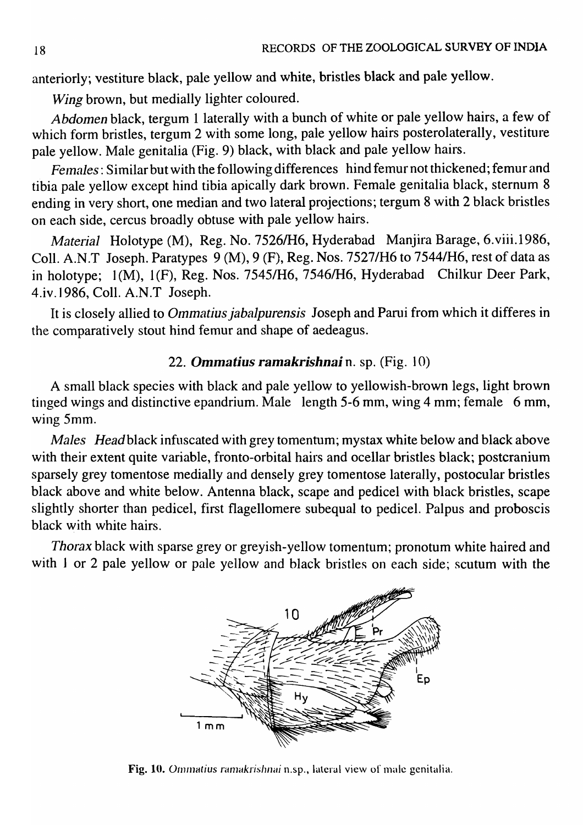anteriorly; vestiture black, pale yellow and white, bristles black and pale yellow.

*Wing* brown, but medially lighter coloured.

*Abdomen* black, tergum 1 laterally with a bunch of white or pale yellow hairs, a few of which form bristles, tergum 2 with some long, pale yellow hairs posterolaterally, vestiture pale yellow. Male genitalia (Fig. 9) black, with black and pale yellow hairs.

*Felnales:* Similar but with the following differences hind femur not thickened; femur and tibia pale yellow except hind tibia apically dark brown. Female genitalia black, sternum 8 ending in very short, one median and two lateral projections; tergum 8 with 2 black bristles on each side, cercus broadly obtuse with pale yellow hairs.

*Material* Holotype (M), Reg. No. *7526IH6,* Hyderabad Manjira Barage, 6.viii.1986, ColI. A.N.T Joseph. Paratypes 9 (M), 9 (F), Reg. Nos. 7527/H6 to 7544/H6, rest of data as in holotype; 1(M), 1(F), Reg. Nos. 7545/H6, 7546/H6, Hyderabad Chilkur Deer Park, 4.iv.1986, CoIl. A.N.T Joseph.

It is closely allied to *Ommatius jabalpurensis* Joseph and Parui from which it differes in the comparatively stout hind femur and shape of aedeagus.

# *22. Ommatius ramakrishnai* n. sp. (Fig. 10)

A small black species with black and pale yellow to yellowish-brown legs, light brown tinged wings and distinctive epandrium. Male length 5-6 mm, wing 4 mm; female 6 mm, wing Smm.

*Males Head black infuscated with grey tomentum; mystax white below and black above* with their extent quite variable, fronto-orbital hairs and ocellar bristles black; postcranium sparsely grey tomentose medially and densely grey tomentose laterally, postocular bristles black above and white below. Antenna black, scape and pedicel with black bristles, scape slightly shorter than pedicel, first flagellomere subequal to pedicel. Palpus and proboscis black with white hairs.

*Thorax* black with sparse grey or greyish-yellow tomentum; pronotum white haired and with 1 or 2 pale yellow or pale yellow and black bristles on each side; scutum with the



Fig. 10. Ommatius ramakrishnai n.sp., lateral view of male genitalia.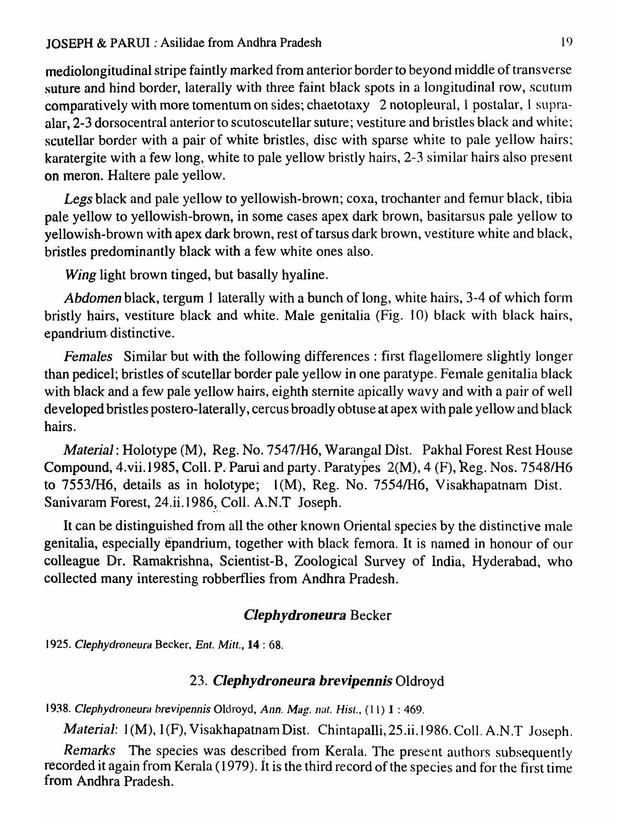mediolongitudinal stripe faintly marked from anterior border to beyond middle of transverse suture and hind border, laterally with three faint black spots in a longitudinal row, scutum comparatively with more tomentum on sides; chaetotaxy 2 notopleural, 1 postalar, I supraalar, 2-3 dorsocentral anterior to scutoscutellar suture; vestiture and bristles black and white; scutellar border with a pair of white bristles, disc with sparse white to pale yellow hairs; karatergite with a few long, white to pale yellow bristly hairs, 2-3 similar hairs also present on meron. Haltere pale yellow.

Legs black and pale yellow to yellowish-brown; coxa, trochanter and femur black, tibia pale yellow to yellowish-brown, in some cases apex dark brown, basitarsus pale yellow to yellowish-brown with apex dark brown, rest of tarsus dark brown, vestiture white and black, bristles predominantly black with a few white ones also.

*Wing* light brown tinged, but basally hyaline.

*Abdomen* black, tergum 1 laterally with a bunch of long, white hairs, 3-4 of which form bristly hairs, vestiture black and white. Male genitalia (Fig. 10) black with black hairs, epandrium. distinctive.

*Females* Similar but with the following differences : first flagellomere slightly longer than pedicel; bristles of scutellar border pale yellow in one paratype. Female genitalia black with black and a few pale yellow hairs, eighth sternite apically wavy and with a pair of well developed bristles postero-laterally, cercus broadly obtuse at apex with pale yellow and black hairs.

*Material: Holotype (M), Reg. No. 7547/H6, Warangal Dist. Pakhal Forest Rest House* Compound, 4.vii.1985, Coll. P. Parui and party. Paratypes 2(M), 4 (F), Reg. Nos. 7548/H6 to 7553/H6, details as in holotype; 1(M), Reg. No. 7554/H6, Visakhapatnam Dist. Sanivaram Forest, 24.ii.1986, Coll. A.N.T Joseph.

It can be distinguished from all the other known Oriental species by the distinctive male genitalia, especially epandrium, together with black femora. It is named in honour of our colleague Dr. Ramakrishna, Scientist-B, Zoological Survey of India, Hyderabad, who collected many interesting robberflies from Andhra Pradesh.

# *Clephydroneura* Becker

*1925. Clephydroneura* Becker, *Ent. Mitt.,* 14 : 68.

# *23. Clephydroneura brevipennis* Oldroyd

1938. Clephydroneura brevipennis Oldroyd, *Ann. Mag. nat. Hist., (11)* 1:469.

*Material: 1(M), 1(F), Visakhapatnam Dist. Chintapalli, 25.ii.1986. Coll. A.N.T Joseph.* 

*Remarks* The species was described from Kerala. The present authors subsequently recorded it again from Kerala (1979). It is the third record of the species and for the first time from Andhra Pradesh.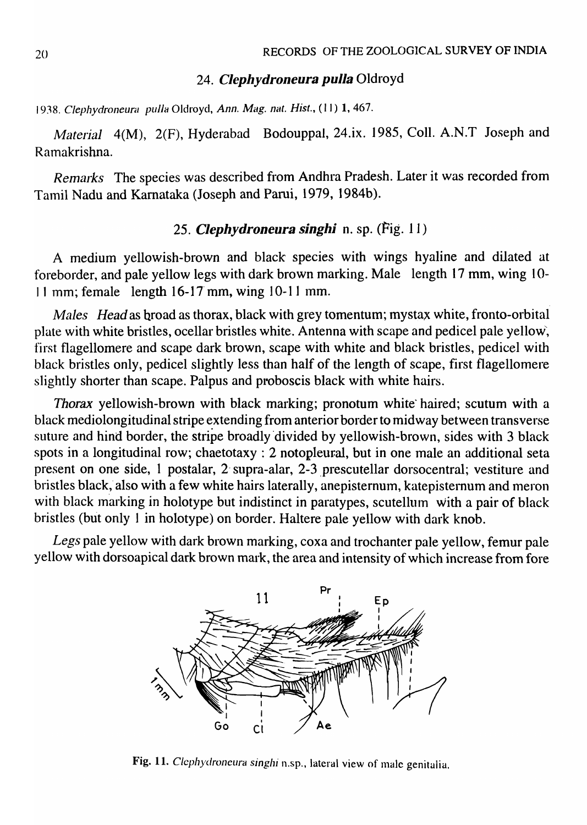# *24. Clephydroneura pulla* Oldroyd

1938. Clephydroneura pulla Oldroyd, Ann. Mag. nat. Hist., (11) 1, 467.

*Material* 4(M), 2(F), Hyderabad Bodouppal, 24.ix. 1985, ColI. A.N.T Joseph and Ramakrishna.

*Remal\*s* The species was described from Andhra Pradesh. Later it was recorded from Tamil Nadu and Karnataka (Joseph and Parui, 1979, 1984b).

# *25. Clephydroneura singhi* n. sp. (Fig. 11)

A medium yellowish-brown and black species with wings hyaline and dilated at foreborder, and pale yellow legs with dark brown marking. Male length 17 mm, wing 10- 11 mm; female length  $16-17$  mm, wing  $10-11$  mm.

*Males Head* as broad as thorax, black with grey tomentum; mystax white, fronto-orbital plate with white bristles, ocellar bristles white. Antenna with scape and pedicel pale yellow, first flagellomere and scape dark brown, scape with white and black bristles, pedicel with black bristles only, pedicel slightly less than half of the length of scape, first flagellomere slightly shorter than scape. Palpus and proboscis black with white hairs.

*Thorax* yellowish-brown with black marking; pronotum white' haired; scutum with a black mediolongitudinal stripe extending from anterior border to midway between transverse suture and hind border, the stripe broadly divided by yellowish-brown, sides with 3 black spots in a longitudinal row; chaetotaxy : 2 notopleural, but in one male an additional seta present on one side, 1 postalar, 2 supra-alar, 2-3 prescutellar dorsocentral; vestiture and bristles black, also with a few white hairs laterally, anepisternum, katepisternum and meron with black marking in holotype but indistinct in paratypes, scutellum with a pair of black bristles (but only I in holotype) on border. Haltere pale yellow with dark knob.

*Legs* pale yellow with dark brown marking, coxa and trochanter pale yellow, femur pale yellow with dorsoapical dark brown mark, the area and intensity of which increase from fore



Fig. 11. Clephydroneura singhi n.sp., lateral view of male genitalia.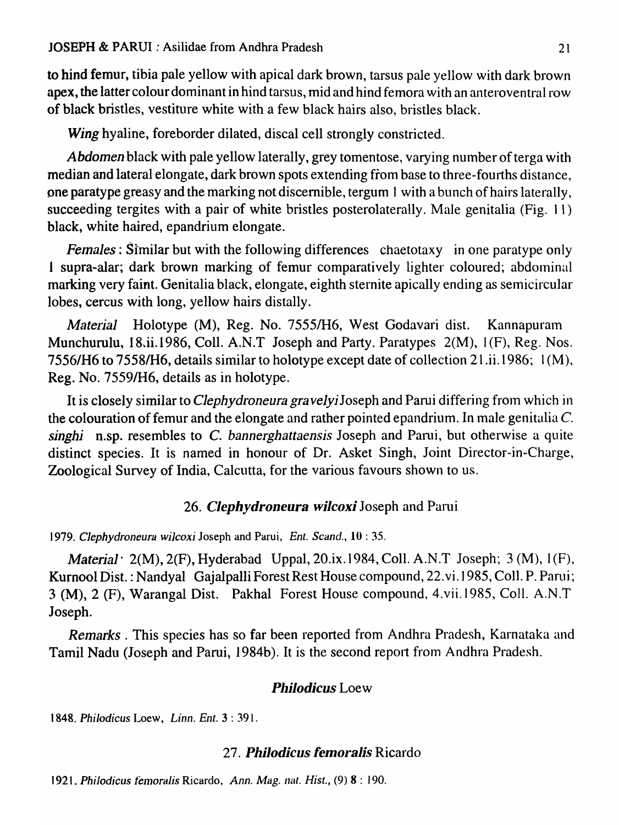to hind femur, tibia pale yellow with apical dark brown, tarsus pale yellow with dark brown apex, the latter colour dominant in hind tarsus, mid and hind femora with an anteroventral row of black bristles, vestiture white with a few black hairs also, bristles black.

*Wing* hyaline, foreborder dilated, discal cell strongly constricted.

*Abdomen* black with pale yellow laterally, grey tomentose, varying number of terga with median and lateral elongate, dark brown spots extending from base to three-fourths distance, pne paratype greasy and the marking notdiscemible, tergum ] with a bunch of hairs laterally, succeeding tergites with a pair of white bristles posterolaterally. Male genitalia (Fig. 11) black, white haired, epandrium elongate.

*Females:* Similar but with the following differences chaetotaxy in one paratype only J supra-alar; dark brown marking of femur comparatively lighter coloured; abdotninal marking very faint. Genitalia black, elongate, eighth sternite apically ending as semicircular lobes, cercus with long, yellow hairs distally.

*Material* Holotype (M), Reg. No. 7555/H6, West Godavari dist. Kannapuram Munchurulu, 18.ii.1986, Coll. A.N.T Joseph and Party. Paratypes  $2(M)$ ,  $1(F)$ , Reg. Nos. 7556/H6 to 75581H6, details similar to holotype except date of collection 21.ii.1986; 1 (M), Reg. No. 7559/H6, details as in holotype.

It is closely similar to *Clephydroneura gravelyi* Joseph and Parui differing from which in the colouration of femur and the elongate and rather pointed epandrium. In male genitalia  $C$ . *singhi* n.sp. resembles to C. *bannerghattaensis* Joseph and Parui, but otherwise a quite distinct species. It is named in honour of Dr. Asket Singh, Joint Director-in-Charge, Zoological Survey of India, Calcutta, for the various favours shown to us.

## *26. Clephydroneura wilcoxi* Joseph and Parui

*1979. Clephydroneura wileoxi* Joseph and Parui, *Ent. Scand.,* 10 : 35.

*Material*  $2(M)$ ,  $2(F)$ , Hyderabad Uppal,  $20.1x.1984$ , Coll. A.N.T Joseph;  $3(M)$ ,  $1(F)$ , Kurnool Dist. : Nandyal Gajalpalli Forest Rest House compound, 22. vi. 1985, Coll. P. Parui; 3 (M), 2 (F), Warangal Dist. Pakhal Forest House compound, 4.vii.1985, CoIl. A.N.T Joseph.

*Remarks.* This species has so far been reported from Andhra Pradesh, Karnataka and Tamil Nadu (Joseph and Parui, 1984b). It is the second report from Andhra Pradesh.

# **Philodicus** Loew

*1848. Phi/odieus* Loew, *Linn. Ent.* 3 : 391.

# *27. Philodicus femoralis* Ricardo

**1921. Philodicus femoralis Ricardo, Ann. Mag. nat.** *Hist.***, (9) 8 : 190.**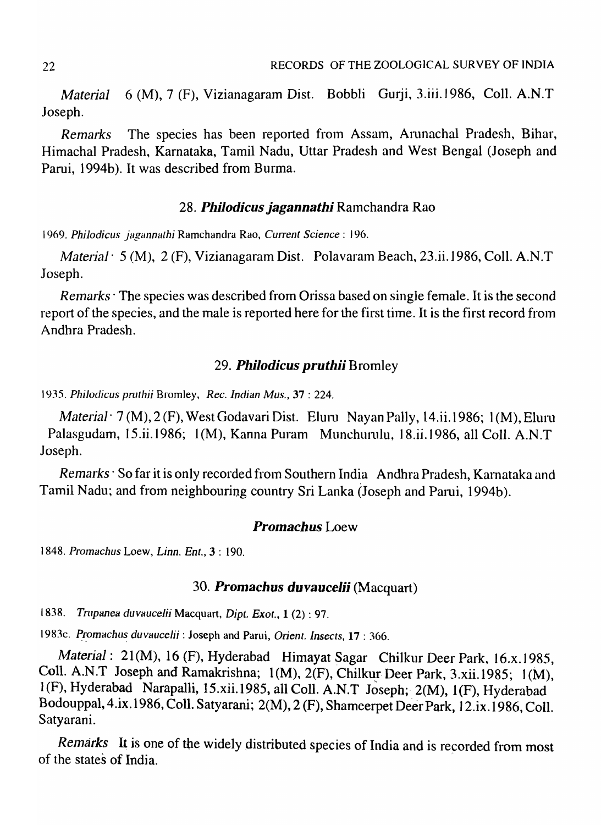*Material* 6 (M), 7 (F), Vizianagaram *Dist.* Bobbli Gurji, 3.iii.1986, CoIl. A.N.T Joseph.

*Remarks* The species has been reported from Assam, Arunachal Pradesh, Bihar, Himachal Pradesh, Karnataka, Tamil Nadu, Uttar Pradesh and West Bengal (Joseph and Pami, 1994b). It was described from Burma.

### *28. Philodieus jagannathi* Ramchandra Rao

1969. Philodicus jagannathi Ramchandra Rao, *Current Science: 196.* 

*Material'* 5 (M), 2 (F), Vizianagaram Dist. Polavaram Beach, 23.ii.1986, ColI. A.N.T Joseph.

*Remarks* The species was described from Orissa based on single female. It is the second report of the species, and the male is reported here for the first time. It is the first record from Andhra Pradesh.

## *29. Philodieus pruthii* Bromley

1935. *Phi/odieus pruthii* Bromley, *Rec. Indian Mus.,* 37 : 224.

*Material* <sup>7</sup> (M), 2 (F), West Godavari Dist. Eluru Nayan Pally, 14.ii.1986; 1 (M), Eluru Palasgudam, 15.ii.1986; 1(M), Kanna Puram Munchurulu, 18.ii.1986, all Coll. A.N.T Joseph.

*Remarks* · So far it is only recorded from Southern India Andhra Pradesh, Karnataka and Tamil Nadu; and from neighbouring country Sri Lanka (Joseph and Parui, 1994b).

### *Promaehus* Loew

1848. *Promachus* Loew, *Linn. Enl.,* 3 : 190.

### *30. Promachus duvaucelii* (Macquart)

1838. Trupanea *duvaucelii* Macquart, *Dipt. Exot.*, 1 (2): 97.

1983c. Promachus duvaucelii: Joseph and Parui, Orient. Insects, 17: 366.

*Material:* 21(M), 16 (F), Hyderabad Himayat Sagar Chilkur Deer Park, 16.x.1985, Coll. A.N.T Joseph and Ramakrishna; 1(M), 2(F), Chilkur Deer Park, 3.xii.1985; 1(M), 1(F), Hyderabad Narapalli, 15.xii.1985, all Coll. A.N.T Joseph; 2(M), 1(F), Hyderabad Bodouppal, 4.ix.1986, ColI. Satyarani; 2(M), 2 (F), Shameerpet Deer Park, ] 2.ix.1986, Coll. Satyarani.

*Remarks* It is one of the widely distributed species of India and is recorded from most of the states of India. -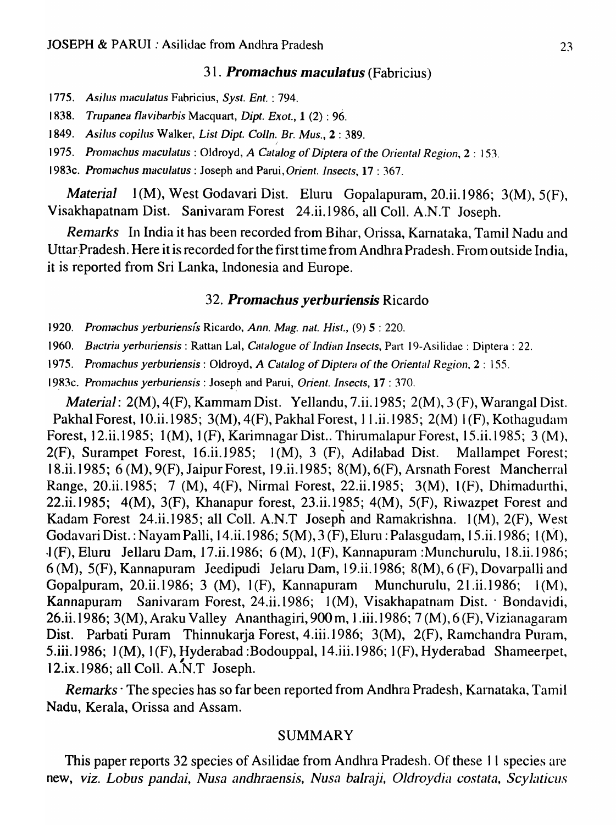### *31. Promachus maculatus* (Fabricius)

- 1775. *Asilus Inaculatus* Fabricius, *Syst. Ent.* : 794.
- 1838. *Trupanea flavibarbis* Macquart, *Dipt. Exot.,* 1 (2) : 96.
- 1849. *Asilus copilus* Walker, *List Dipt. Colln. Br. Mus.,* 2 : 389.
- 1975. *Promachus maculatus* : Oldroyd, *A Catalog of Diptera of the Oriental Region*, 2 : 153.
- 1983c. *Promachus maculatus* : Joseph and Parui, *Orient. Insects*, **17** : 367.

*Material* 1(M), West Godavari Dist. Eluru Gopalapuram, 20.ii.1986; 3(M), 5(F), Visakhapatnam Dist. Sanivaram Forest 24.ii.1986, all ColI. A.N.T Joseph.

*Remarks* In India it has been recorded from Bihar, Orissa, Karnataka, Tamil Nadu and Uttar Pradesh. Here it is recorded for the first time from Andhra Pradesh. From outside India, it is reported from Sri Lanka, Indonesia and Europe.

### *32. Promachus yerburiensis* Ricardo

- 1920. *Pron1achus yerburiens[s* Ricardo, *Ann. Mag. nat. Hist.,* (9) 5 : 220.
- 1960. *Bactria yerburiensis* : Rattan Lal, *Catalogue of Indian Insects*, Part 19-Asilidac : Diptera : 22.

1975. *Pronlachus yerburiensis* : Oldroyd, *A Catalog* of *Diptera* of *the Oriental Region,* 2 : 155.

1983c. *Promachus yerburiensis* : Joseph and Parui, *Orient. Insects*, 17 : 370.

*Material: 2(M), 4(F), Kammam Dist. Yellandu, 7.ii.1985; 2(M), 3(F), Warangal Dist.* Pakhal Forest, 10.ii.1985; 3(M), 4(F), Pakhal Forest, 11.ii.1985; 2(M) 1(F), Kothagudam Forest, 12.ii.1985; 1 (M), ] (F), Karimnagar Dist.. Thirumalapur Forest, 15.ii.1985; 3 (M), 2(F), Surampet Forest, 16.ii.1985; ] (M), 3 (F), Adilabad Dist. Mallampet Forest; 18.ii.1985; 6 (M), 9(F), Jaipur Forest, 19.ii.1985; 8(M), 6(F), Arsnath Forest Mancherral Range, 20.ii.1985; 7 (M), 4(F), Nirmal Forest, 22.ii.] 985; 3(M), ] (F), Dhimadurthi, 22.ii.1985;  $4(M)$ ,  $3(F)$ , Khanapur forest, 23.ii.1985;  $4(M)$ ,  $5(F)$ , Riwazpet Forest and Kadam Forest 24.ii.1985; all Coll. A.N.T Joseph and Ramakrishna. 1(M), 2(F), West Godavari Dist. : Nayam Palli, ] 4.ii.1986; 5(M), 3 (F), Eluru : Palasgudarn, 15.ii.1986; 1 (M),  $J(F)$ , Eluru Jellaru Dam, 17.ii.1986; 6 (M), 1(F), Kannapuram :Munchurulu, 18.ii.1986;  $6(M)$ ,  $5(F)$ , Kannapuram Jeedipudi Jelaru Dam, 19.ii.1986;  $8(M)$ ,  $6(F)$ , Dovarpalli and Gopalpuram, 20.ii.1986; 3 (M),  $1(F)$ , Kannapuram Munchurulu, 21.ii.1986;  $1(M)$ , Kannapuram Sanivaram Forest, 24.ii.1986;  $1(M)$ , Visakhapatnam Dist. · Bondavidi, 26.ii.1986; 3(M), Araku Valley Ananthagiri, 900 m, 1.iii.1986; 7(M), 6(F), Vizianagaram Dist. Parbati Puram Thinnukarja Forest, 4.iii.1986; 3(M), 2(F), Ramchandra Puram, 5.iii. 1986; 1(M), 1(F), Hyderabad : Bodouppal, 14.iii. 1986; 1(F), Hyderabad Shameerpet, 12.ix. 1986; all Coll. A.N.T Joseph.

*Remarks* · The species has so far been reported from Andhra Pradesh, Karnataka, Tamil Nadu, Kerala, Orissa and Assam.

### SUMMARY

This paper reports 32 species of Asilidae from Andhra Pradesh. Of these 11 species are new, viz. Lobus pandai, Nusa andhraensis, Nusa balraji, Oldroydia costata, Scylaticus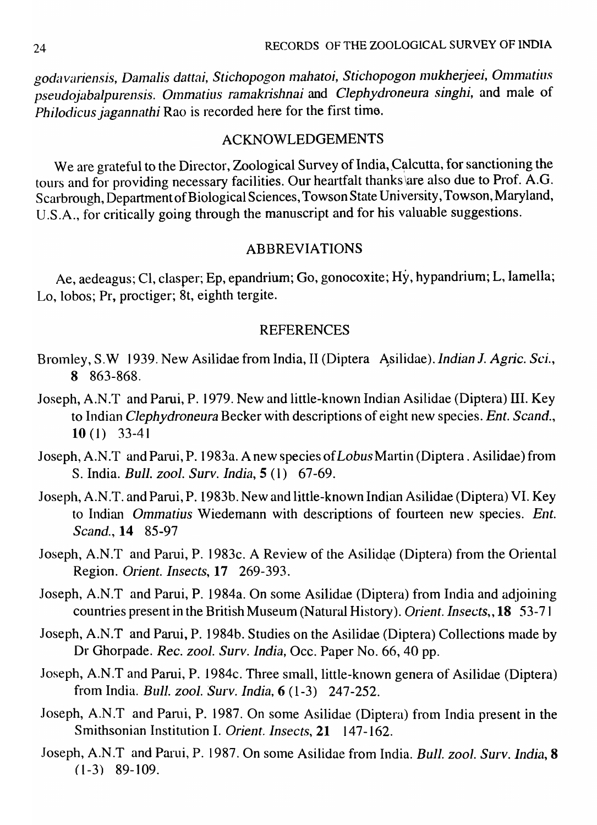*goda variensis, Dalnalis dattai, Stichopogon Inahatoi, Stichopogon 111ukherjeei, 0111nlt.ltiu8 pseudojabalpurensis. Olnmatius ramakrishnai* and *Clephydroneura singhi,* and male of *Philodicus jagannathi* Rao is recorded here for the first time.

### ACKNOWLEDGEMENTS

We are grateful to the Director, Zoological Survey of India, Calcutta, for sanctioning the tours and for providing necessary facilities. Our heartfalt thanks \are also due to Prof. A.G. Scarbrough, Department of Biological Sciences, Towson State University, Towson, Maryland, U.S.A., for critically going through the manuscript and for his valuable suggestions.

### ABBREVIATIONS

Ae, aedeagus; Cl, clasper; Ep, epandrium; Go, gonocoxite; Hy, hypandrium; L, lamella; Lo, lobos; Pr, proctiger; 8t, eighth tergite.

## REFERENCES

- Bromley, S.W 1939. New Asilidae from India, II (Diptera Asilidae). *Indian J. Agric. Sci.*, 8 863-868.
- Joseph, A.N.T and Parui, P. 1979. New and little-known Indian Asilidae (Diptera) III. Key to Indian *Clephydroneura* Becker with descriptions of eight new species. *Ent. Scand.,*  10 (1) 33-41
- Joseph, A.N.T and Parui, P. 1983a. A new species of *Lobus* Martin (Diptera. Asilidae) from S. India. *Bull. zool. Surv. India,S* (1) 67-69.
- Joseph, A.N .T. and Pami, P. 1983b. New and little-known Indian Asilidae (Diptera) VI. Key to Indian *Ommatius* Wiedemann with descriptions of fourteen new species. *Ent. Scand.,* 14 85-97
- Joseph, A.N.T and Parui, P. 1983c. A Review of the Asilidae (Diptera) from the Oriental Region. *Orient. Insects,* 17 269-393.
- Joseph, A.N.T and Parui, P. 1984a. On some Asilidae (Diptera) from India and adjoining countries present in the British Museum (Natural History). *Orient. Insects"* 18 53-71
- Joseph, A.N.T and Parui, P. 1984b. Studies on the Asilidae (Diptera) Collections made by Dr Ghorpade. *Rec. zool. Surv. India,* Occ. Paper No. 66, 40 pp.
- Joseph, A.N.T and Parui, P. 1984c. Three small, little-known genera of Asilidae (Diptera) from India. *Bull. zool. Surv. India,* 6 (1-3) 247-252.
- Joseph, A.N.T and Parui, P. 1987. On some Asilidae (Diptera) from India present in the Smithsonian Institution I. *Orient. Insects,* 21 147-162.
- Joseph, A.N.T and Parui, P. 1987. On some Asilidae from India. *Bull. zool. Surv. India*, **8**  $(1-3)$  89-109.